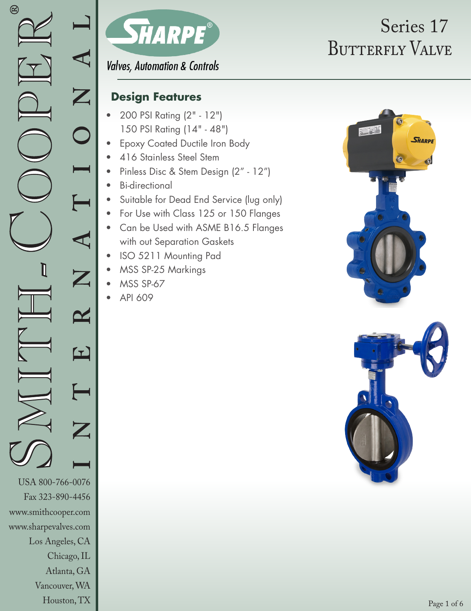Houston, TX



# BUTTERFLY VALVE Series 17

**Valves, Automation & Controls** 

### **Design Features**

- 200 PSI Rating (2" 12") 150 PSI Rating (14" - 48")
- Epoxy Coated Ductile Iron Body
- 416 Stainless Steel Stem
- Pinless Disc & Stem Design (2" 12")
- Bi-directional
- Suitable for Dead End Service (lug only)
- For Use with Class 125 or 150 Flanges
- Can be Used with ASME B16.5 Flanges with out Separation Gaskets
- ISO 5211 Mounting Pad
- MSS SP-25 Markings
- MSS SP-67
- API 609



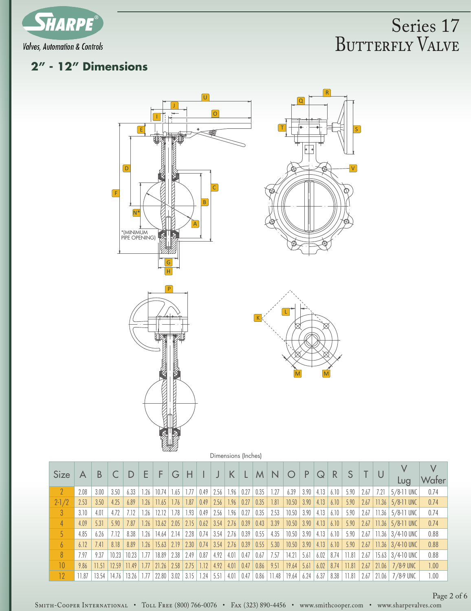

#### **2" - 12" Dimensions**



Dimensions (Inches)

| <b>Size</b>     | А    | B     |       |              | F    | F     | G             | н             |                               |                  | K            |      | M    | N.          |              | P                  | Q                     | $\mathsf{R}$   |      |                    | $\cup$ |                       |       |
|-----------------|------|-------|-------|--------------|------|-------|---------------|---------------|-------------------------------|------------------|--------------|------|------|-------------|--------------|--------------------|-----------------------|----------------|------|--------------------|--------|-----------------------|-------|
|                 |      |       |       |              |      |       |               |               |                               |                  |              |      |      |             |              |                    |                       |                |      |                    |        | Lug                   | Water |
| $\mathcal{P}$   | 2.08 | 3.00  | 3.50  | 6.33         | 1.26 | 10.74 | 1.65          | 1.77          | 0.49                          | $2.56$   1.96    |              | 0.27 | 0.35 | 1.27        | 6.39         | 3.90               | 4.13                  | 6.10           | 5.90 | 2.67               | 7.21   | $5/8$ -11 UNC         | 0.74  |
| $2 - 1/2$       | 2.53 | 3.50  | 4.25  | 6.89         | 1.26 | 11.65 | 1.76          | 1.87          | 0.49                          | $2.56$   1.96    |              | 0.27 | 0.35 | 1.81        | 10.50        | $\vert 3.90 \vert$ | 4.13                  | 6.10           | 5.90 | 2.67               | 11.36  | $5/8$ -11 UNC         | 0.74  |
| $\mathcal{S}$   | 3.10 | 4.01  | 4.72  | 7.12         | .26  | 12.12 | 1.78          | 1.93          | 0.49                          | 2.56             | 1.96         | 0.27 | 0.35 | 2.53        | 10.50        | 3.90               | 4.13                  | 6.10           | 5.90 | 2.67               | 11.36  | 5/8-11 UNC            | 0.74  |
|                 | 4.09 | 5.31  | 5.90  | 7.87         | 1.26 | 13.62 | $2.05$   2.15 |               |                               | $0.62$ 3.54 2.76 |              | 0.39 | 0.43 | 3.39        | $10.50$ 3.90 |                    | $4.13 \mid 6.10 \mid$ |                | 5.90 | 2.67               |        | $ 11.36 5/8.11$ UNC   | 0.74  |
|                 | 4.85 | 6.26  | 7.12  | 8.38         | 1.26 | 14.64 | $2.14$   2.28 |               | 0.74                          | $3.54$   2.76    |              | 0.39 | 0.55 | 4.35        | 10.50        | $\vert 3.90 \vert$ | 4.13                  | 6.10           | 5.90 | 2.67               |        | 11.36   $3/4$ -10 UNC | 0.88  |
| 6               | 6.12 | 7.41  | 8.18  | 8.89         | 1.26 | 15.63 | 2.19          | 2.30          | $0.74$   3.54                 |                  | $\vert$ 2.76 | 0.39 | 0.55 | 5.30        | 10.50        | $\vert 3.90 \vert$ | 4.13                  | 6.10           | 5.90 | 2.67               |        | 11.36   $3/4$ -10 UNC | 0.88  |
| 8               | 7.97 | 9.37  | 10.23 | 10.23        | 1.77 | 18.89 | $2.38$   2.49 |               | 0.87                          | 4.92             | 4.01         | 0.47 | 0.67 | 7.57        | 14.21        | 5.61               | 6.02                  | $8.74$   11.81 |      | $\vert 2.67 \vert$ |        | 15.63   $3/4$ -10 UNC | 0.88  |
| 10 <sup>°</sup> | 9.86 | 11.51 | 12.59 | 11.49        | 1.77 | 21.26 |               | $2.58$   2.75 | 1.12                          | $4.92 \mid 4.01$ |              | 0.47 | 0.86 | 9.51        | $19.64$ 5.61 |                    | 6.02                  | $8.74$   11.81 |      | 2.67               | 21.06  | $7/8.9$ UNC           | 1.00  |
| 12              | 1.87 | 13.54 | 14.76 | $13.26$ 1.77 |      | 22.80 |               |               | $3.02$   $3.15$   1.24   5.51 |                  | 4.01         | 0.47 | 0.86 | 11.48 19.64 |              | 6.24               | 6.37                  | $8.38$   11.81 |      | $\sqrt{2.67}$      | 21.06  | 7/8-9 UNC             | 1.00  |

Page 2 of 6

SMITH-COOPER INTERNATIONAL • TOLL FREE (800) 766-0076 • FAx (323) 890-4456 • www.smithcooper.com • www.sharpevalves.com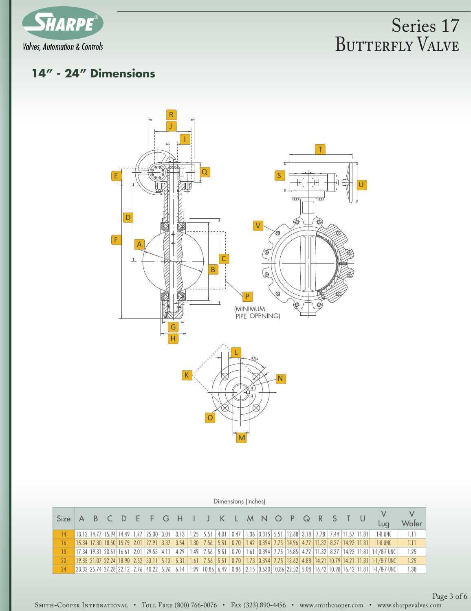

### **14" - 24" Dimensions**



|             |  |  |                                                                                                                   |      |                      | Dimensions (Inches) |  |                                                                                               |  |  |                                                                                                                                                                                                                                                                                                                   |            |
|-------------|--|--|-------------------------------------------------------------------------------------------------------------------|------|----------------------|---------------------|--|-----------------------------------------------------------------------------------------------|--|--|-------------------------------------------------------------------------------------------------------------------------------------------------------------------------------------------------------------------------------------------------------------------------------------------------------------------|------------|
| <b>Size</b> |  |  | A B C D E F G H I J K L M N O P Q R S T U                                                                         |      |                      |                     |  |                                                                                               |  |  | Luq                                                                                                                                                                                                                                                                                                               | .<br>Wafer |
|             |  |  | 13.12 14.77 15.94 14.49 1.77 25.00 3.01 3.13 1.25 5.51 4.01 0.47 1.36 0.315 5.51 12.68 3.18 7.78 7.44 11.57 11.81 |      |                      |                     |  |                                                                                               |  |  | 1-8 UNC                                                                                                                                                                                                                                                                                                           | 1.11       |
| 16          |  |  | $15.34$   17.30   18.50   15.75   2.01   27.91   3.37   3.54                                                      |      |                      |                     |  | 1.30   7.56   5.51   0.70   1.42   0.394   7.75   14.96   4.72   11.32   8.27   14.92   11.81 |  |  | 1-8 UNC                                                                                                                                                                                                                                                                                                           | 1.11       |
| 18          |  |  | $17.34$   19.31   20.51   16.61   2.01   29.53   4.11                                                             | 4.29 | $1.49$   7.56   5.51 |                     |  |                                                                                               |  |  | $\mid$ 0.70 $\mid$ 1.61 $\mid$ 0.394 $\mid$ 7.75 $\mid$ 16.85 $\mid$ 4.72 $\mid$ 11.32 $\mid$ 8.27 $\mid$ 14.92 $\mid$ 11.81 $\mid$ 1-1/8-7 UNC                                                                                                                                                                   | 1.25       |
| 20          |  |  | $19.35$   21.07   22.24   18.90   2.52   33.11   5.13   5.31   1.61   7.56   5.51                                 |      |                      |                     |  |                                                                                               |  |  | $\mid 0.70 \mid 1.73 \mid 0.394 \mid 7.75 \mid 18.62 \mid 4.88 \mid 14.21 \mid 10.79 \mid 14.21 \mid 11.81 \mid 1-1/8-7 \mid 0.001 \mid 0.001 \mid 0.001 \mid 0.001 \mid 0.001 \mid 0.001 \mid 0.001 \mid 0.001 \mid 0.001 \mid 0.001 \mid 0.001 \mid 0.001 \mid 0.001 \mid 0.001 \mid 0.001 \mid 0.001 \mid 0.0$ | 1.25       |
| 24          |  |  |                                                                                                                   |      |                      |                     |  |                                                                                               |  |  | 23.32 25.74 27.28 22.12 2.76 40.22 5.96 6.14 1.99 10.86 6.49 0.86 2.15 0.630 10.86 22.52 5.08 16.42 10.98 16.42 11.81 1-1/8-7 UNC                                                                                                                                                                                 | 1.38       |

SMITH-COOPER INTERNATIONAL • TOLL FREE (800) 766-0076 • FAX (323) 890-4456 • www.smithcooper.com • www.sharpevalves.com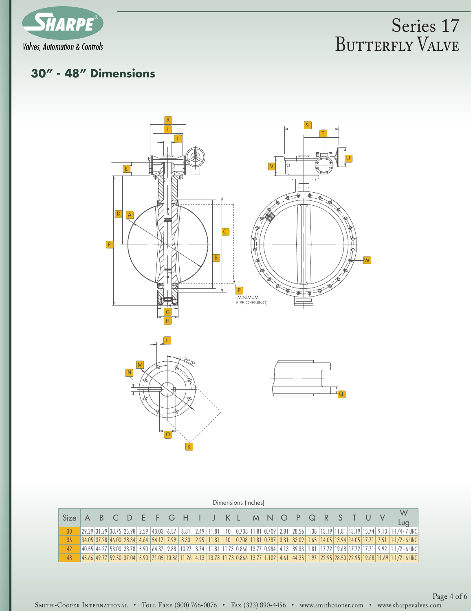

### **30" - 48" Dimensions**



|                                                  |  |  |  |  |  | Dimensions (Inches) |  |  |  |  |  |                                                                                                                                                                                                                                |
|--------------------------------------------------|--|--|--|--|--|---------------------|--|--|--|--|--|--------------------------------------------------------------------------------------------------------------------------------------------------------------------------------------------------------------------------------|
| Size A B C D E F G H I J K L M N O P Q R S T U V |  |  |  |  |  |                     |  |  |  |  |  | W<br>Lug                                                                                                                                                                                                                       |
| 30                                               |  |  |  |  |  |                     |  |  |  |  |  | 29.29 31.29 38.75 25.98 2.59 48.03 6.57 6.81 2.49 11.81 10 0.708 11.81 0.709 2.81 28.56 1.38 13.19 11.81 3.19 15.74 9.13 1-1/4 - 7 UNC                                                                                         |
| 36                                               |  |  |  |  |  |                     |  |  |  |  |  | 34.05 37.28 46.00 28.34 4.64 54.17 7.99 8.30 2.95 11.81 10 0.708 11.81 0.787 3.31 33.09 1.65 14.05 13.94 14.05 17.71 7.51 1-1/2 - 6 UNC                                                                                        |
| 42                                               |  |  |  |  |  |                     |  |  |  |  |  | 40.55 44.27 53.00 33.78 5.90 64.37 9.88 10.27 3.74 11.81 11.73 0.866 13.77 0.984 4.13 39.33 1.81 17.72 19.68 17.72 17.71 9.92 11-1/2 - 6 UNC                                                                                   |
| 48                                               |  |  |  |  |  |                     |  |  |  |  |  | 45.9 11.69 11.69 11.69 12.95 12.95 12.95 12.95 12.96 13.96 13.77 12.96 13.77 12.96 13.77 12.96 12.97 12.97 12.95 12.95 12.95 12.95 12.95 12.95 12.95 12.95 12.95 12.95 12.95 12.95 12.95 12.95 12.95 12.97 12.96 11.69 1-1/2 - |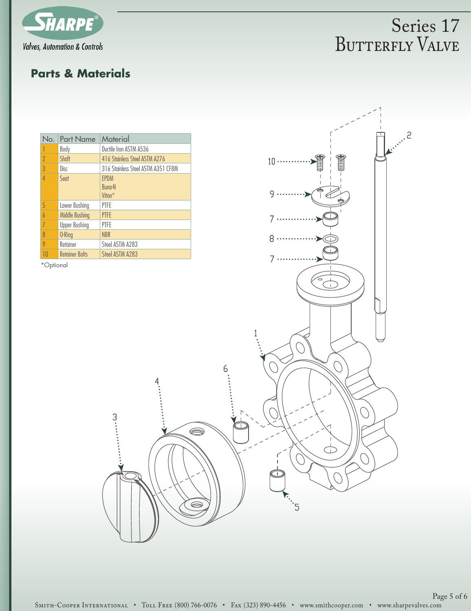

### **Parts & Materials**

|                | No. Part Name         | Material                                           |
|----------------|-----------------------|----------------------------------------------------|
|                | Body                  | Ductile Iron ASTM A536                             |
| $\gamma$       | Shaft                 | 416 Stainless Steel ASTM A276                      |
| 3              | Disc                  | 316 Stainless Steel ASTM A351 CF8M                 |
| $\overline{4}$ | Sent                  | <b>FPDM</b><br><b>Bung-N</b><br>Viton <sup>*</sup> |
| 5              | Lower Bushing         | PTFF                                               |
| $\overline{b}$ | <b>Middle Bushing</b> | <b>PTFE</b>                                        |
| 7              | <b>Upper Bushing</b>  | PTFE                                               |
| 8              | 0-Ring                | <b>NBR</b>                                         |
| 9              | Retainer              | Steel ASTM A283                                    |
| 10             | <b>Retainer Bolts</b> | Steel ASTM A283                                    |

..........

\*Optional